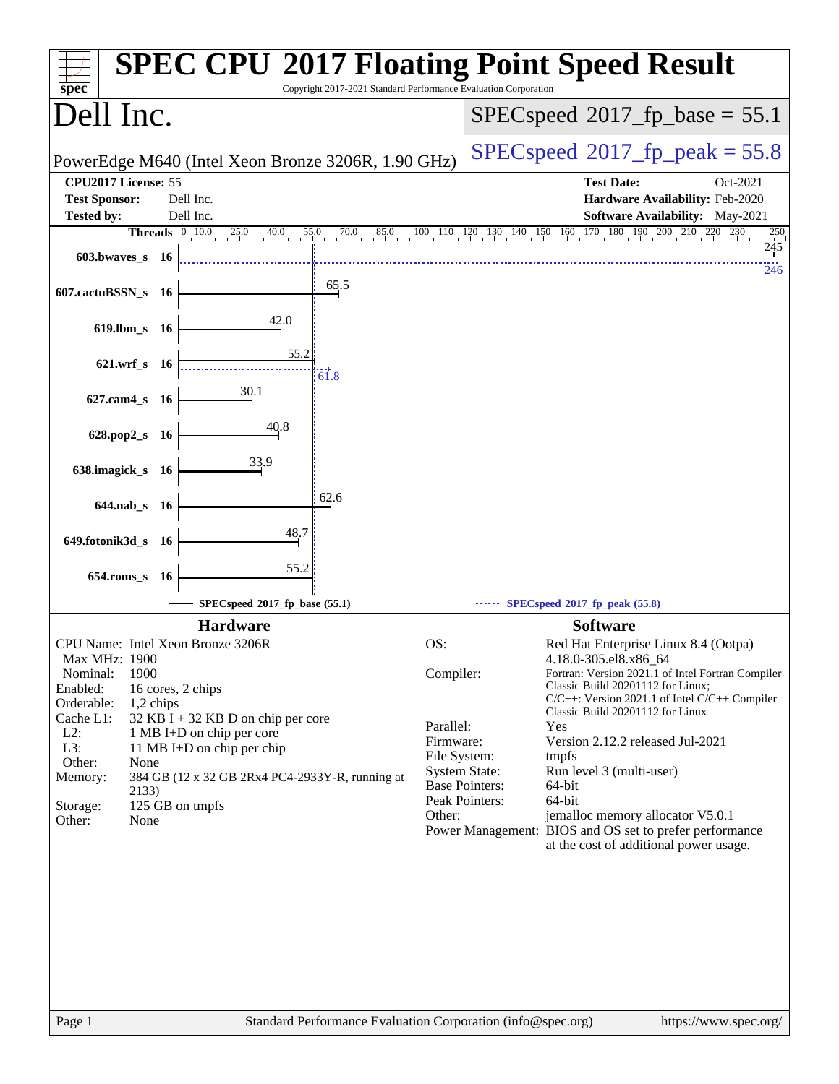| <b>SPEC CPU®2017 Floating Point Speed Result</b><br>Copyright 2017-2021 Standard Performance Evaluation Corporation<br>spec <sup>®</sup>                                                                        |                                                                                                                                                                                                                                                                    |  |  |  |
|-----------------------------------------------------------------------------------------------------------------------------------------------------------------------------------------------------------------|--------------------------------------------------------------------------------------------------------------------------------------------------------------------------------------------------------------------------------------------------------------------|--|--|--|
| Dell Inc.                                                                                                                                                                                                       | $SPEC speed^{\circ}2017\_fp\_base = 55.1$                                                                                                                                                                                                                          |  |  |  |
| PowerEdge M640 (Intel Xeon Bronze 3206R, 1.90 GHz)                                                                                                                                                              | $SPEC speed^{\circ}2017$ [p_peak = 55.8                                                                                                                                                                                                                            |  |  |  |
| CPU2017 License: 55<br><b>Test Sponsor:</b><br>Dell Inc.                                                                                                                                                        | <b>Test Date:</b><br>Oct-2021<br>Hardware Availability: Feb-2020                                                                                                                                                                                                   |  |  |  |
| <b>Tested by:</b><br>Dell Inc.                                                                                                                                                                                  | Software Availability: May-2021<br><b>Threads</b> 0 10.0 25.0 40.0 55.0 70.0 85.0 100 110 120 130 140 150 160 170 180 190 200 210 220 230<br>250                                                                                                                   |  |  |  |
| $603.bwaves$ 16                                                                                                                                                                                                 | 245<br>246                                                                                                                                                                                                                                                         |  |  |  |
| 65.5<br>607.cactuBSSN_s 16                                                                                                                                                                                      |                                                                                                                                                                                                                                                                    |  |  |  |
| 42.0<br>619.lbm_s 16                                                                                                                                                                                            |                                                                                                                                                                                                                                                                    |  |  |  |
| 55.2<br>$621.wrf$ <sub>S</sub><br>- 16<br>61.8                                                                                                                                                                  |                                                                                                                                                                                                                                                                    |  |  |  |
| 30.1<br>627.cam4_s 16                                                                                                                                                                                           |                                                                                                                                                                                                                                                                    |  |  |  |
| 40.8<br>628.pop2_s<br>- 16                                                                                                                                                                                      |                                                                                                                                                                                                                                                                    |  |  |  |
| 33.9<br>638.imagick_s 16                                                                                                                                                                                        |                                                                                                                                                                                                                                                                    |  |  |  |
| 62.6<br>644.nab_s 16                                                                                                                                                                                            |                                                                                                                                                                                                                                                                    |  |  |  |
| 48.7<br>649.fotonik3d_s<br>- 16                                                                                                                                                                                 |                                                                                                                                                                                                                                                                    |  |  |  |
| 55.2<br>$654$ .roms_s<br><b>16</b>                                                                                                                                                                              |                                                                                                                                                                                                                                                                    |  |  |  |
| SPECspeed®2017_fp_base (55.1)                                                                                                                                                                                   | SPECspeed®2017_fp_peak (55.8)                                                                                                                                                                                                                                      |  |  |  |
| <b>Hardware</b>                                                                                                                                                                                                 | <b>Software</b>                                                                                                                                                                                                                                                    |  |  |  |
| CPU Name: Intel Xeon Bronze 3206R<br>Max MHz: 1900                                                                                                                                                              | OS:<br>Red Hat Enterprise Linux 8.4 (Ootpa)<br>4.18.0-305.el8.x86_64                                                                                                                                                                                               |  |  |  |
| 1900<br>Nominal:<br>Enabled:<br>16 cores, 2 chips<br>Orderable:<br>$1,2$ chips<br>Cache L1:<br>$32$ KB I + 32 KB D on chip per core<br>$L2$ :<br>1 MB I+D on chip per core<br>L3:<br>11 MB I+D on chip per chip | Compiler:<br>Fortran: Version 2021.1 of Intel Fortran Compiler<br>Classic Build 20201112 for Linux;<br>$C/C++$ : Version 2021.1 of Intel $C/C++$ Compiler<br>Classic Build 20201112 for Linux<br>Parallel:<br>Yes<br>Firmware:<br>Version 2.12.2 released Jul-2021 |  |  |  |
| Other:<br>None                                                                                                                                                                                                  | File System:<br>tmpfs                                                                                                                                                                                                                                              |  |  |  |
| 384 GB (12 x 32 GB 2Rx4 PC4-2933Y-R, running at<br>Memory:                                                                                                                                                      | <b>System State:</b><br>Run level 3 (multi-user)<br><b>Base Pointers:</b><br>64-bit                                                                                                                                                                                |  |  |  |
| 2133)<br>125 GB on tmpfs<br>Storage:                                                                                                                                                                            | Peak Pointers:<br>64-bit                                                                                                                                                                                                                                           |  |  |  |
| Other:<br>None                                                                                                                                                                                                  | Other:<br>jemalloc memory allocator V5.0.1<br>Power Management: BIOS and OS set to prefer performance<br>at the cost of additional power usage.                                                                                                                    |  |  |  |
|                                                                                                                                                                                                                 |                                                                                                                                                                                                                                                                    |  |  |  |
| Page 1                                                                                                                                                                                                          | Standard Performance Evaluation Corporation (info@spec.org)<br>https://www.spec.org/                                                                                                                                                                               |  |  |  |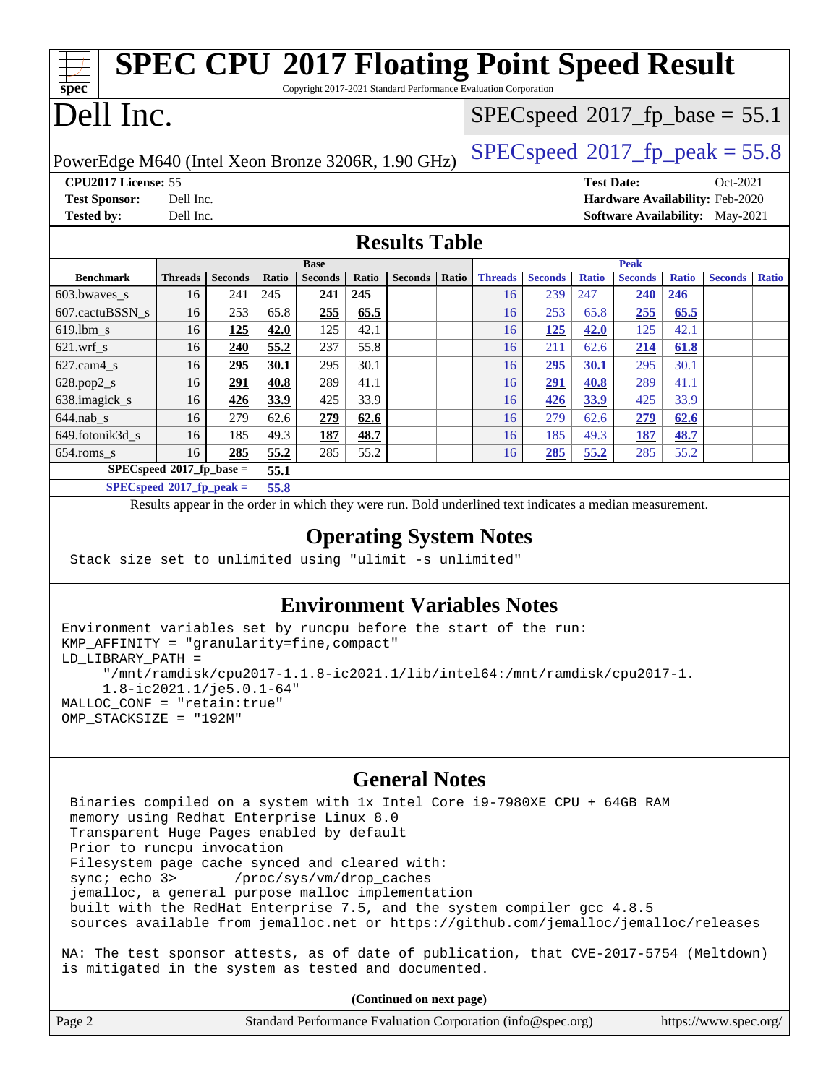| <b>SPEC CPU®2017 Floating Point Speed Result</b><br>$\overline{\text{spec}^*}$<br>Copyright 2017-2021 Standard Performance Evaluation Corporation |                                                     |                |       |                |       |                |                                               |                |                |                   |                |              |                                 |              |
|---------------------------------------------------------------------------------------------------------------------------------------------------|-----------------------------------------------------|----------------|-------|----------------|-------|----------------|-----------------------------------------------|----------------|----------------|-------------------|----------------|--------------|---------------------------------|--------------|
| Dell Inc.                                                                                                                                         |                                                     |                |       |                |       |                | $SPEC speed$ <sup>®</sup> 2017_fp_base = 55.1 |                |                |                   |                |              |                                 |              |
| $SPEC speed^{\circ}2017$ _fp_peak = 55.8<br>PowerEdge M640 (Intel Xeon Bronze 3206R, 1.90 GHz)                                                    |                                                     |                |       |                |       |                |                                               |                |                |                   |                |              |                                 |              |
| CPU2017 License: 55                                                                                                                               |                                                     |                |       |                |       |                |                                               |                |                | <b>Test Date:</b> |                |              | Oct-2021                        |              |
| <b>Test Sponsor:</b>                                                                                                                              | Dell Inc.                                           |                |       |                |       |                |                                               |                |                |                   |                |              | Hardware Availability: Feb-2020 |              |
| <b>Tested by:</b>                                                                                                                                 | Dell Inc.<br><b>Software Availability:</b> May-2021 |                |       |                |       |                |                                               |                |                |                   |                |              |                                 |              |
| <b>Results Table</b>                                                                                                                              |                                                     |                |       |                |       |                |                                               |                |                |                   |                |              |                                 |              |
|                                                                                                                                                   |                                                     |                |       | <b>Base</b>    |       |                |                                               |                |                |                   | <b>Peak</b>    |              |                                 |              |
| <b>Benchmark</b>                                                                                                                                  | <b>Threads</b>                                      | <b>Seconds</b> | Ratio | <b>Seconds</b> | Ratio | <b>Seconds</b> | Ratio                                         | <b>Threads</b> | <b>Seconds</b> | <b>Ratio</b>      | <b>Seconds</b> | <b>Ratio</b> | <b>Seconds</b>                  | <b>Ratio</b> |
| 603.bwaves_s                                                                                                                                      | 16                                                  | 241            | 245   | 241            | 245   |                |                                               | 16             | 239            | 247               | <b>240</b>     | 246          |                                 |              |
| 607.cactuBSSN s                                                                                                                                   | 16                                                  | 253            | 65.8  | 255            | 65.5  |                |                                               | 16             | 253            | 65.8              | 255            | 65.5         |                                 |              |
| $619.$ lbm s                                                                                                                                      | 16                                                  | 125            | 42.0  | 125            | 42.1  |                |                                               | 16             | 125            | 42.0              | 125            | 42.1         |                                 |              |
| $621$ .wrf s                                                                                                                                      | 16                                                  | 240            | 55.2  | 237            | 55.8  |                |                                               | 16             | 211            | 62.6              | 214            | 61.8         |                                 |              |
| $627.cam4$ s                                                                                                                                      | 16                                                  | 295            | 30.1  | 295            | 30.1  |                |                                               | 16             | 295            | 30.1              | 295            | 30.1         |                                 |              |
| $628.pop2_s$                                                                                                                                      | 16                                                  | 291            | 40.8  | 289            | 41.1  |                |                                               | 16             | 291            | 40.8              | 289            | 41.1         |                                 |              |
| 638.imagick_s                                                                                                                                     | 16                                                  | 426            | 33.9  | 425            | 33.9  |                |                                               | 16             | 426            | 33.9              | 425            | 33.9         |                                 |              |
| $644.nab$ <sub>s</sub>                                                                                                                            | 16                                                  | 279            | 62.6  | 279            | 62.6  |                |                                               | 16             | 279            | 62.6              | 279            | 62.6         |                                 |              |
| 649.fotonik3d_s                                                                                                                                   | 16                                                  | 185            | 49.3  | 187            | 48.7  |                |                                               | 16             | 185            | 49.3              | 187            | 48.7         |                                 |              |
| 654.roms_s                                                                                                                                        | 16                                                  | 285            | 55.2  | 285            | 55.2  |                |                                               | 16             | 285            | 55.2              | 285            | 55.2         |                                 |              |
|                                                                                                                                                   | $SPECspeed*2017_fp\_base =$                         |                | 55.1  |                |       |                |                                               |                |                |                   |                |              |                                 |              |
| $SPECspeed*2017_fp\_peak =$<br>55.8                                                                                                               |                                                     |                |       |                |       |                |                                               |                |                |                   |                |              |                                 |              |
| Results appear in the order in which they were run. Bold underlined text indicates a median measurement.                                          |                                                     |                |       |                |       |                |                                               |                |                |                   |                |              |                                 |              |
| Angrating System Nates                                                                                                                            |                                                     |                |       |                |       |                |                                               |                |                |                   |                |              |                                 |              |

## **[Operating System Notes](http://www.spec.org/auto/cpu2017/Docs/result-fields.html#OperatingSystemNotes)**

Stack size set to unlimited using "ulimit -s unlimited"

## **[Environment Variables Notes](http://www.spec.org/auto/cpu2017/Docs/result-fields.html#EnvironmentVariablesNotes)**

```
Environment variables set by runcpu before the start of the run:
KMP_AFFINITY = "granularity=fine,compact"
LD_LIBRARY_PATH =
      "/mnt/ramdisk/cpu2017-1.1.8-ic2021.1/lib/intel64:/mnt/ramdisk/cpu2017-1.
      1.8-ic2021.1/je5.0.1-64"
MALLOC_CONF = "retain:true"
OMP_STACKSIZE = "192M"
```
### **[General Notes](http://www.spec.org/auto/cpu2017/Docs/result-fields.html#GeneralNotes)**

 Binaries compiled on a system with 1x Intel Core i9-7980XE CPU + 64GB RAM memory using Redhat Enterprise Linux 8.0 Transparent Huge Pages enabled by default Prior to runcpu invocation Filesystem page cache synced and cleared with: sync; echo 3> /proc/sys/vm/drop\_caches jemalloc, a general purpose malloc implementation built with the RedHat Enterprise 7.5, and the system compiler gcc 4.8.5 sources available from jemalloc.net or <https://github.com/jemalloc/jemalloc/releases>

NA: The test sponsor attests, as of date of publication, that CVE-2017-5754 (Meltdown) is mitigated in the system as tested and documented.

**(Continued on next page)**

| Page 2 | Standard Performance Evaluation Corporation (info@spec.org) | https://www.spec.org/ |
|--------|-------------------------------------------------------------|-----------------------|
|--------|-------------------------------------------------------------|-----------------------|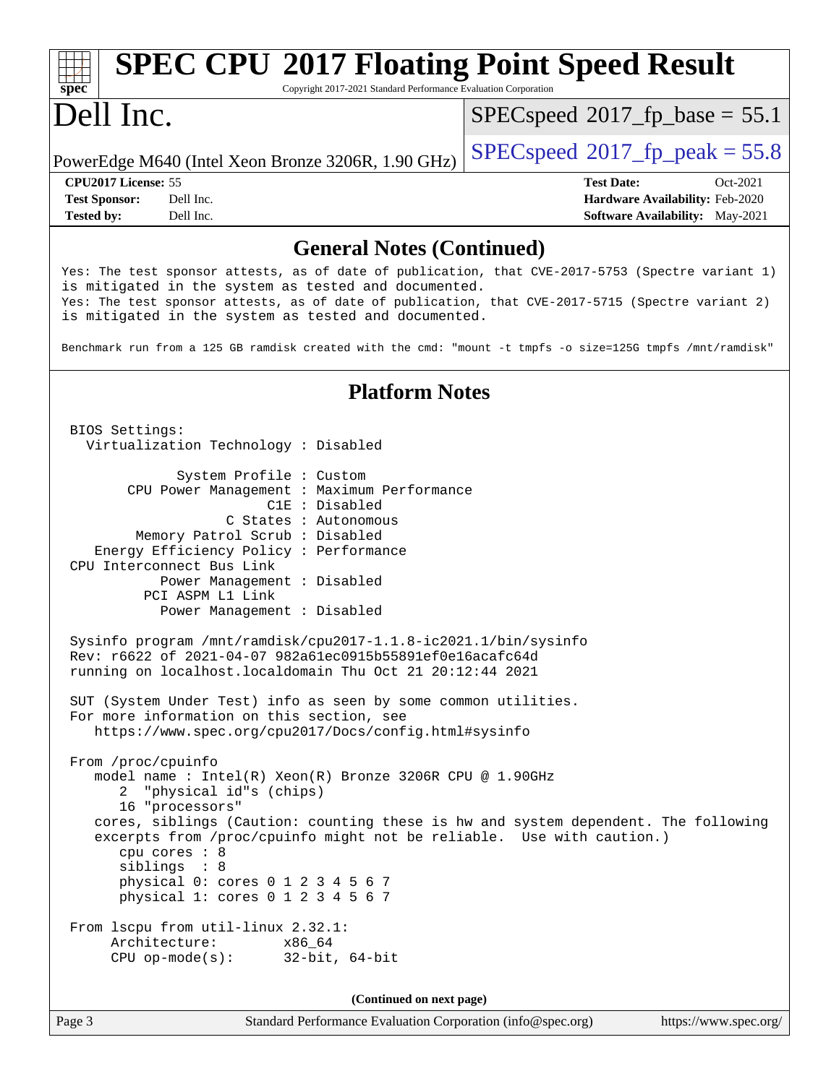#### **[spec](http://www.spec.org/) [SPEC CPU](http://www.spec.org/auto/cpu2017/Docs/result-fields.html#SPECCPU2017FloatingPointSpeedResult)[2017 Floating Point Speed Result](http://www.spec.org/auto/cpu2017/Docs/result-fields.html#SPECCPU2017FloatingPointSpeedResult)** Copyright 2017-2021 Standard Performance Evaluation Corporation Dell Inc. PowerEdge M640 (Intel Xeon Bronze 3206R, 1.90 GHz)  $\left|$  [SPECspeed](http://www.spec.org/auto/cpu2017/Docs/result-fields.html#SPECspeed2017fppeak)®[2017\\_fp\\_peak = 5](http://www.spec.org/auto/cpu2017/Docs/result-fields.html#SPECspeed2017fppeak)5.8  $SPECspeed^{\circledcirc}2017$  $SPECspeed^{\circledcirc}2017$  fp base = 55.1 **[CPU2017 License:](http://www.spec.org/auto/cpu2017/Docs/result-fields.html#CPU2017License)** 55 **[Test Date:](http://www.spec.org/auto/cpu2017/Docs/result-fields.html#TestDate)** Oct-2021 **[Test Sponsor:](http://www.spec.org/auto/cpu2017/Docs/result-fields.html#TestSponsor)** Dell Inc. **[Hardware Availability:](http://www.spec.org/auto/cpu2017/Docs/result-fields.html#HardwareAvailability)** Feb-2020 **[Tested by:](http://www.spec.org/auto/cpu2017/Docs/result-fields.html#Testedby)** Dell Inc. **[Software Availability:](http://www.spec.org/auto/cpu2017/Docs/result-fields.html#SoftwareAvailability)** May-2021 **[General Notes \(Continued\)](http://www.spec.org/auto/cpu2017/Docs/result-fields.html#GeneralNotes)** Yes: The test sponsor attests, as of date of publication, that CVE-2017-5753 (Spectre variant 1) is mitigated in the system as tested and documented. Yes: The test sponsor attests, as of date of publication, that CVE-2017-5715 (Spectre variant 2) is mitigated in the system as tested and documented. Benchmark run from a 125 GB ramdisk created with the cmd: "mount -t tmpfs -o size=125G tmpfs /mnt/ramdisk" **[Platform Notes](http://www.spec.org/auto/cpu2017/Docs/result-fields.html#PlatformNotes)** BIOS Settings: Virtualization Technology : Disabled System Profile : Custom CPU Power Management : Maximum Performance C1E : Disabled C States : Autonomous Memory Patrol Scrub : Disabled Energy Efficiency Policy : Performance CPU Interconnect Bus Link Power Management : Disabled PCI ASPM L1 Link Power Management : Disabled Sysinfo program /mnt/ramdisk/cpu2017-1.1.8-ic2021.1/bin/sysinfo Rev: r6622 of 2021-04-07 982a61ec0915b55891ef0e16acafc64d running on localhost.localdomain Thu Oct 21 20:12:44 2021 SUT (System Under Test) info as seen by some common utilities. For more information on this section, see <https://www.spec.org/cpu2017/Docs/config.html#sysinfo> From /proc/cpuinfo model name : Intel(R) Xeon(R) Bronze 3206R CPU @ 1.90GHz 2 "physical id"s (chips) 16 "processors" cores, siblings (Caution: counting these is hw and system dependent. The following excerpts from /proc/cpuinfo might not be reliable. Use with caution.) cpu cores : 8 siblings : 8 physical 0: cores 0 1 2 3 4 5 6 7 physical 1: cores 0 1 2 3 4 5 6 7 From lscpu from util-linux 2.32.1: Architecture: x86\_64 CPU op-mode(s): 32-bit, 64-bit **(Continued on next page)**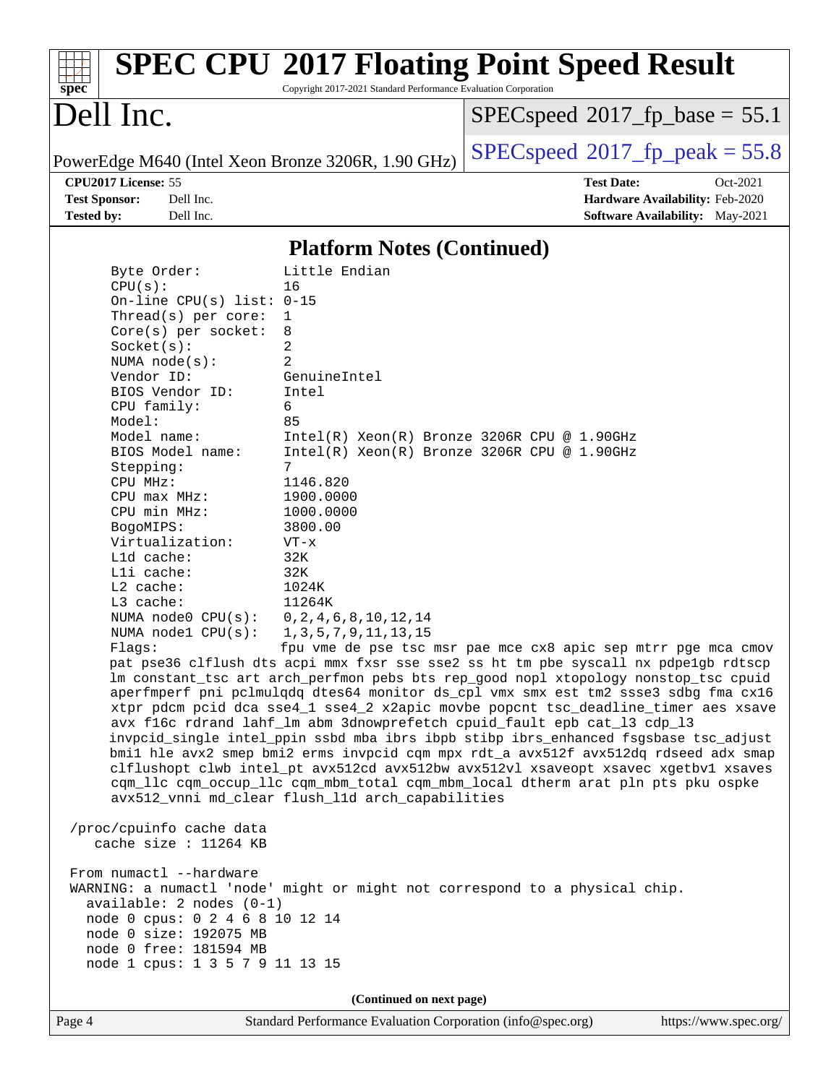| <b>SPEC CPU®2017 Floating Point Speed Result</b><br>Copyright 2017-2021 Standard Performance Evaluation Corporation<br>spec <sup>®</sup> |                                                               |                                                                                                                                                                         |                                        |  |  |
|------------------------------------------------------------------------------------------------------------------------------------------|---------------------------------------------------------------|-------------------------------------------------------------------------------------------------------------------------------------------------------------------------|----------------------------------------|--|--|
| Dell Inc.                                                                                                                                |                                                               | $SPEC speed^{\circ}2017\_fp\_base = 55.1$                                                                                                                               |                                        |  |  |
| PowerEdge M640 (Intel Xeon Bronze 3206R, 1.90 GHz)                                                                                       |                                                               | $SPEC speed^{\circ}2017$ fp peak = 55.8                                                                                                                                 |                                        |  |  |
| CPU2017 License: 55                                                                                                                      |                                                               | <b>Test Date:</b>                                                                                                                                                       | Oct-2021                               |  |  |
| <b>Test Sponsor:</b><br>Dell Inc.                                                                                                        |                                                               |                                                                                                                                                                         | Hardware Availability: Feb-2020        |  |  |
| Dell Inc.<br><b>Tested by:</b>                                                                                                           |                                                               |                                                                                                                                                                         | <b>Software Availability:</b> May-2021 |  |  |
|                                                                                                                                          | <b>Platform Notes (Continued)</b>                             |                                                                                                                                                                         |                                        |  |  |
| Byte Order:                                                                                                                              | Little Endian                                                 |                                                                                                                                                                         |                                        |  |  |
| CPU(s):                                                                                                                                  | 16                                                            |                                                                                                                                                                         |                                        |  |  |
| On-line CPU(s) list: $0-15$                                                                                                              |                                                               |                                                                                                                                                                         |                                        |  |  |
| Thread(s) per core:                                                                                                                      | 1                                                             |                                                                                                                                                                         |                                        |  |  |
| $Core(s)$ per socket:                                                                                                                    | 8                                                             |                                                                                                                                                                         |                                        |  |  |
| Socket(s):<br>NUMA $node(s)$ :                                                                                                           | 2<br>2                                                        |                                                                                                                                                                         |                                        |  |  |
| Vendor ID:                                                                                                                               | GenuineIntel                                                  |                                                                                                                                                                         |                                        |  |  |
| BIOS Vendor ID:                                                                                                                          | Intel                                                         |                                                                                                                                                                         |                                        |  |  |
| CPU family:                                                                                                                              | 6                                                             |                                                                                                                                                                         |                                        |  |  |
| Model:                                                                                                                                   | 85                                                            |                                                                                                                                                                         |                                        |  |  |
| Model name:                                                                                                                              | $Intel(R) Xeon(R) Bronze 3206R CPU @ 1.90GHz$                 |                                                                                                                                                                         |                                        |  |  |
| BIOS Model name:                                                                                                                         | $Intel(R) Xeon(R) Bronze 3206R CPU @ 1.90GHz$<br>7            |                                                                                                                                                                         |                                        |  |  |
| Stepping:<br>CPU MHz:                                                                                                                    | 1146.820                                                      |                                                                                                                                                                         |                                        |  |  |
| CPU max MHz:                                                                                                                             | 1900.0000                                                     |                                                                                                                                                                         |                                        |  |  |
| CPU min MHz:                                                                                                                             | 1000.0000                                                     |                                                                                                                                                                         |                                        |  |  |
| BogoMIPS:                                                                                                                                | 3800.00                                                       |                                                                                                                                                                         |                                        |  |  |
| Virtualization:                                                                                                                          | $VT - x$                                                      |                                                                                                                                                                         |                                        |  |  |
| L1d cache:                                                                                                                               | 32K                                                           |                                                                                                                                                                         |                                        |  |  |
| L2 cache:                                                                                                                                | Lli cache:<br>32K<br>1024K                                    |                                                                                                                                                                         |                                        |  |  |
| L3 cache:                                                                                                                                | 11264K                                                        |                                                                                                                                                                         |                                        |  |  |
| NUMA $node0$ $CPU(s):$                                                                                                                   | 0, 2, 4, 6, 8, 10, 12, 14                                     |                                                                                                                                                                         |                                        |  |  |
| NUMA $node1$ CPU( $s$ ):                                                                                                                 | 1, 3, 5, 7, 9, 11, 13, 15                                     |                                                                                                                                                                         |                                        |  |  |
| $Fla$ as:                                                                                                                                | fpu vme de pse tsc msr pae mce cx8 apic sep mtrr pge mca cmov |                                                                                                                                                                         |                                        |  |  |
| pat pse36 clflush dts acpi mmx fxsr sse sse2 ss ht tm pbe syscall nx pdpelgb rdtscp                                                      |                                                               |                                                                                                                                                                         |                                        |  |  |
|                                                                                                                                          |                                                               | lm constant_tsc art arch_perfmon pebs bts rep_good nopl xtopology nonstop_tsc cpuid                                                                                     |                                        |  |  |
|                                                                                                                                          |                                                               | aperfmperf pni pclmulqdq dtes64 monitor ds_cpl vmx smx est tm2 ssse3 sdbg fma cx16<br>xtpr pdcm pcid dca sse4_1 sse4_2 x2apic movbe popcnt tsc_deadline_timer aes xsave |                                        |  |  |
|                                                                                                                                          |                                                               | avx f16c rdrand lahf_lm abm 3dnowprefetch cpuid_fault epb cat_13 cdp_13                                                                                                 |                                        |  |  |
|                                                                                                                                          |                                                               | invpcid_single intel_ppin ssbd mba ibrs ibpb stibp ibrs_enhanced fsgsbase tsc_adjust                                                                                    |                                        |  |  |
|                                                                                                                                          |                                                               | bmil hle avx2 smep bmi2 erms invpcid cqm mpx rdt_a avx512f avx512dq rdseed adx smap                                                                                     |                                        |  |  |
|                                                                                                                                          |                                                               | clflushopt clwb intel_pt avx512cd avx512bw avx512vl xsaveopt xsavec xgetbvl xsaves                                                                                      |                                        |  |  |
| cqm_llc cqm_occup_llc cqm_mbm_total cqm_mbm_local dtherm arat pln pts pku ospke                                                          |                                                               |                                                                                                                                                                         |                                        |  |  |
| avx512_vnni md_clear flush_lld arch_capabilities                                                                                         |                                                               |                                                                                                                                                                         |                                        |  |  |
| /proc/cpuinfo cache data                                                                                                                 |                                                               |                                                                                                                                                                         |                                        |  |  |
| cache size : $11264$ KB                                                                                                                  |                                                               |                                                                                                                                                                         |                                        |  |  |
|                                                                                                                                          |                                                               |                                                                                                                                                                         |                                        |  |  |
| From numactl --hardware                                                                                                                  |                                                               |                                                                                                                                                                         |                                        |  |  |
| WARNING: a numactl 'node' might or might not correspond to a physical chip.<br>$available: 2 nodes (0-1)$                                |                                                               |                                                                                                                                                                         |                                        |  |  |
| node 0 cpus: 0 2 4 6 8 10 12 14                                                                                                          |                                                               |                                                                                                                                                                         |                                        |  |  |
| node 0 size: 192075 MB                                                                                                                   |                                                               |                                                                                                                                                                         |                                        |  |  |
| node 0 free: 181594 MB                                                                                                                   |                                                               |                                                                                                                                                                         |                                        |  |  |
| node 1 cpus: 1 3 5 7 9 11 13 15                                                                                                          |                                                               |                                                                                                                                                                         |                                        |  |  |
| (Continued on next page)                                                                                                                 |                                                               |                                                                                                                                                                         |                                        |  |  |
| Page 4                                                                                                                                   | Standard Performance Evaluation Corporation (info@spec.org)   |                                                                                                                                                                         | https://www.spec.org/                  |  |  |
|                                                                                                                                          |                                                               |                                                                                                                                                                         |                                        |  |  |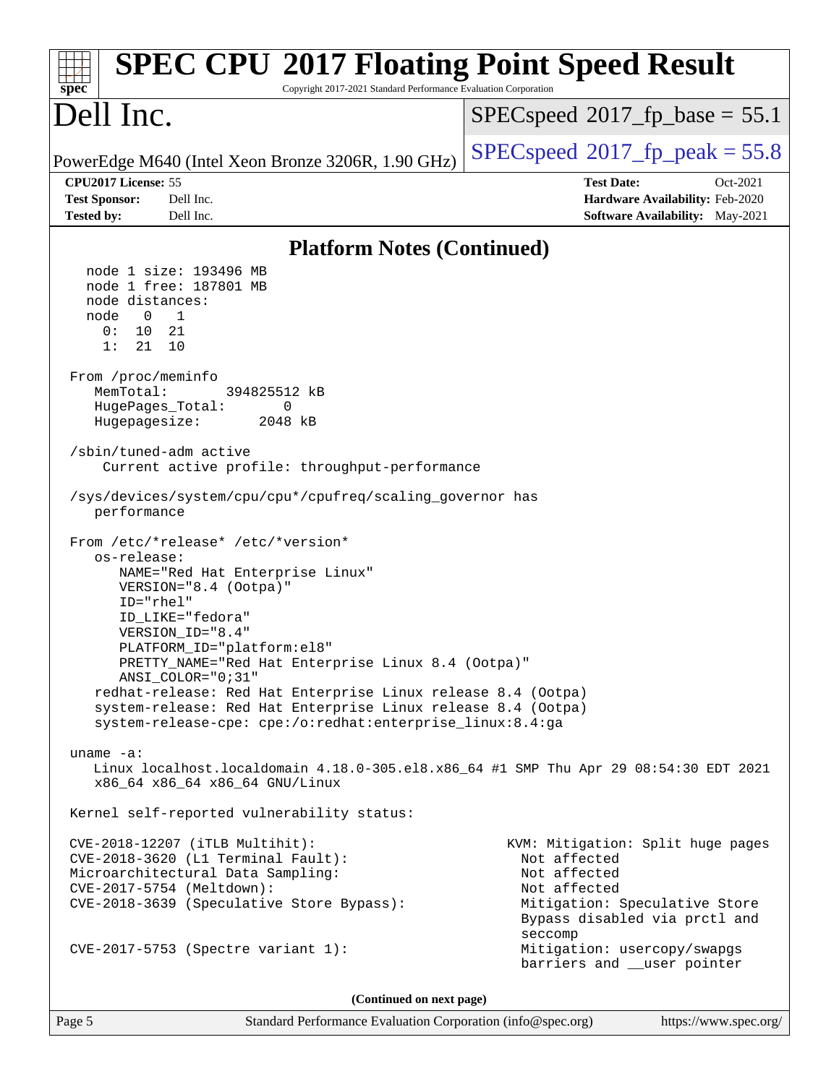| <b>SPEC CPU®2017 Floating Point Speed Result</b><br>Copyright 2017-2021 Standard Performance Evaluation Corporation<br>spec <sup>®</sup>                                                                                                                                                                                                                                                                                                                                                                                                                                                                                                                                                                                                                                                                                                                                                                                                                                                                                                                                                                                                           |                                                                                                        |  |  |  |
|----------------------------------------------------------------------------------------------------------------------------------------------------------------------------------------------------------------------------------------------------------------------------------------------------------------------------------------------------------------------------------------------------------------------------------------------------------------------------------------------------------------------------------------------------------------------------------------------------------------------------------------------------------------------------------------------------------------------------------------------------------------------------------------------------------------------------------------------------------------------------------------------------------------------------------------------------------------------------------------------------------------------------------------------------------------------------------------------------------------------------------------------------|--------------------------------------------------------------------------------------------------------|--|--|--|
| Dell Inc.                                                                                                                                                                                                                                                                                                                                                                                                                                                                                                                                                                                                                                                                                                                                                                                                                                                                                                                                                                                                                                                                                                                                          | $SPEC speed$ <sup>®</sup> 2017_fp_base = 55.1                                                          |  |  |  |
| PowerEdge M640 (Intel Xeon Bronze 3206R, 1.90 GHz)                                                                                                                                                                                                                                                                                                                                                                                                                                                                                                                                                                                                                                                                                                                                                                                                                                                                                                                                                                                                                                                                                                 | $SPEC speed^{\circ}2017$ [p_peak = 55.8                                                                |  |  |  |
| CPU2017 License: 55<br>Dell Inc.                                                                                                                                                                                                                                                                                                                                                                                                                                                                                                                                                                                                                                                                                                                                                                                                                                                                                                                                                                                                                                                                                                                   | <b>Test Date:</b><br>Oct-2021                                                                          |  |  |  |
| <b>Test Sponsor:</b><br><b>Tested by:</b><br>Dell Inc.                                                                                                                                                                                                                                                                                                                                                                                                                                                                                                                                                                                                                                                                                                                                                                                                                                                                                                                                                                                                                                                                                             | Hardware Availability: Feb-2020<br><b>Software Availability:</b> May-2021                              |  |  |  |
| <b>Platform Notes (Continued)</b>                                                                                                                                                                                                                                                                                                                                                                                                                                                                                                                                                                                                                                                                                                                                                                                                                                                                                                                                                                                                                                                                                                                  |                                                                                                        |  |  |  |
| node 1 size: 193496 MB<br>node 1 free: 187801 MB<br>node distances:<br>node<br>$\overline{\phantom{0}}$<br>$\overline{1}$<br>0:<br>10<br>21<br>21<br>10<br>1:<br>From /proc/meminfo<br>MemTotal:<br>394825512 kB<br>$\mathbf{0}$<br>HugePages_Total:<br>Hugepagesize:<br>2048 kB<br>/sbin/tuned-adm active<br>Current active profile: throughput-performance<br>/sys/devices/system/cpu/cpu*/cpufreq/scaling_governor has<br>performance<br>From /etc/*release* /etc/*version*<br>os-release:<br>NAME="Red Hat Enterprise Linux"<br>VERSION="8.4 (Ootpa)"<br>$ID="rhe1"$<br>ID_LIKE="fedora"<br>VERSION ID="8.4"<br>PLATFORM_ID="platform:el8"<br>PRETTY_NAME="Red Hat Enterprise Linux 8.4 (Ootpa)"<br>ANSI COLOR="0;31"<br>redhat-release: Red Hat Enterprise Linux release 8.4 (Ootpa)<br>system-release: Red Hat Enterprise Linux release 8.4 (Ootpa)<br>system-release-cpe: cpe:/o:redhat:enterprise_linux:8.4:ga<br>uname $-a$ :<br>Linux localhost.localdomain 4.18.0-305.el8.x86_64 #1 SMP Thu Apr 29 08:54:30 EDT 2021<br>x86_64 x86_64 x86_64 GNU/Linux<br>Kernel self-reported vulnerability status:<br>CVE-2018-12207 (iTLB Multihit): | KVM: Mitigation: Split huge pages                                                                      |  |  |  |
| CVE-2018-3620 (L1 Terminal Fault):<br>Microarchitectural Data Sampling:<br>CVE-2017-5754 (Meltdown):<br>CVE-2018-3639 (Speculative Store Bypass):                                                                                                                                                                                                                                                                                                                                                                                                                                                                                                                                                                                                                                                                                                                                                                                                                                                                                                                                                                                                  | Not affected<br>Not affected<br>Not affected<br>Mitigation: Speculative Store                          |  |  |  |
| CVE-2017-5753 (Spectre variant 1):                                                                                                                                                                                                                                                                                                                                                                                                                                                                                                                                                                                                                                                                                                                                                                                                                                                                                                                                                                                                                                                                                                                 | Bypass disabled via prctl and<br>seccomp<br>Mitigation: usercopy/swapgs<br>barriers and __user pointer |  |  |  |
| (Continued on next page)                                                                                                                                                                                                                                                                                                                                                                                                                                                                                                                                                                                                                                                                                                                                                                                                                                                                                                                                                                                                                                                                                                                           |                                                                                                        |  |  |  |

Page 5 Standard Performance Evaluation Corporation [\(info@spec.org\)](mailto:info@spec.org) <https://www.spec.org/>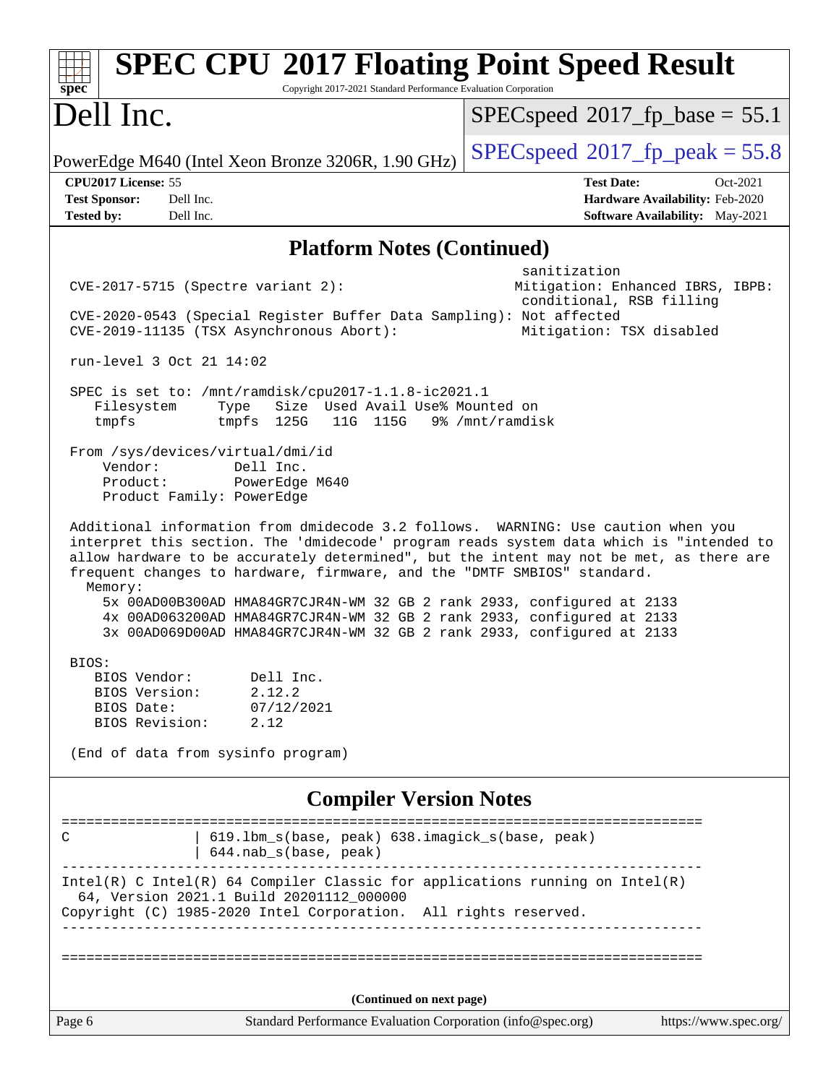| <b>SPEC CPU®2017 Floating Point Speed Result</b><br>spec<br>Copyright 2017-2021 Standard Performance Evaluation Corporation                                                                                                                                                                                                                                                                                                                                                                                                                                                                                              |                                                                                                            |  |  |  |
|--------------------------------------------------------------------------------------------------------------------------------------------------------------------------------------------------------------------------------------------------------------------------------------------------------------------------------------------------------------------------------------------------------------------------------------------------------------------------------------------------------------------------------------------------------------------------------------------------------------------------|------------------------------------------------------------------------------------------------------------|--|--|--|
| Dell Inc.                                                                                                                                                                                                                                                                                                                                                                                                                                                                                                                                                                                                                | $SPEC speed^{\circ}2017$ fp base = 55.1                                                                    |  |  |  |
| PowerEdge M640 (Intel Xeon Bronze 3206R, 1.90 GHz)                                                                                                                                                                                                                                                                                                                                                                                                                                                                                                                                                                       | $SPEC speed^{\circ}2017$ fp peak = 55.8                                                                    |  |  |  |
| CPU2017 License: 55<br><b>Test Sponsor:</b><br>Dell Inc.<br>Dell Inc.<br><b>Tested by:</b>                                                                                                                                                                                                                                                                                                                                                                                                                                                                                                                               | <b>Test Date:</b><br>Oct-2021<br>Hardware Availability: Feb-2020<br><b>Software Availability:</b> May-2021 |  |  |  |
| <b>Platform Notes (Continued)</b>                                                                                                                                                                                                                                                                                                                                                                                                                                                                                                                                                                                        |                                                                                                            |  |  |  |
| $CVE-2017-5715$ (Spectre variant 2):<br>CVE-2020-0543 (Special Register Buffer Data Sampling): Not affected<br>CVE-2019-11135 (TSX Asynchronous Abort):<br>run-level 3 Oct 21 14:02                                                                                                                                                                                                                                                                                                                                                                                                                                      | sanitization<br>Mitigation: Enhanced IBRS, IBPB:<br>conditional, RSB filling<br>Mitigation: TSX disabled   |  |  |  |
| SPEC is set to: /mnt/ramdisk/cpu2017-1.1.8-ic2021.1<br>Size Used Avail Use% Mounted on<br>Filesystem<br>Type<br>tmpfs<br>tmpfs 125G<br>11G 115G<br>From /sys/devices/virtual/dmi/id<br>Vendor:<br>Dell Inc.<br>Product:<br>PowerEdge M640                                                                                                                                                                                                                                                                                                                                                                                | 9% /mnt/ramdisk                                                                                            |  |  |  |
| Product Family: PowerEdge<br>Additional information from dmidecode 3.2 follows. WARNING: Use caution when you<br>interpret this section. The 'dmidecode' program reads system data which is "intended to<br>allow hardware to be accurately determined", but the intent may not be met, as there are<br>frequent changes to hardware, firmware, and the "DMTF SMBIOS" standard.<br>Memory:<br>5x 00AD00B300AD HMA84GR7CJR4N-WM 32 GB 2 rank 2933, configured at 2133<br>4x 00AD063200AD HMA84GR7CJR4N-WM 32 GB 2 rank 2933, configured at 2133<br>3x 00AD069D00AD HMA84GR7CJR4N-WM 32 GB 2 rank 2933, configured at 2133 |                                                                                                            |  |  |  |
| BIOS:<br>Dell Inc.<br>BIOS Vendor:<br>2.12.2<br>BIOS Version:<br>BIOS Date:<br>07/12/2021<br>BIOS Revision:<br>2.12<br>(End of data from sysinfo program)                                                                                                                                                                                                                                                                                                                                                                                                                                                                |                                                                                                            |  |  |  |
| <b>Compiler Version Notes</b>                                                                                                                                                                                                                                                                                                                                                                                                                                                                                                                                                                                            |                                                                                                            |  |  |  |
| 619.1bm_s(base, peak) 638.imagick_s(base, peak)<br>C<br>644.nab_s(base, peak)                                                                                                                                                                                                                                                                                                                                                                                                                                                                                                                                            |                                                                                                            |  |  |  |
| Intel(R) C Intel(R) 64 Compiler Classic for applications running on Intel(R)<br>64, Version 2021.1 Build 20201112_000000<br>Copyright (C) 1985-2020 Intel Corporation. All rights reserved.                                                                                                                                                                                                                                                                                                                                                                                                                              |                                                                                                            |  |  |  |
|                                                                                                                                                                                                                                                                                                                                                                                                                                                                                                                                                                                                                          |                                                                                                            |  |  |  |
| (Continued on next page)<br>Standard Performance Evaluation Corporation (info@spec.org)<br>Page 6                                                                                                                                                                                                                                                                                                                                                                                                                                                                                                                        | https://www.spec.org/                                                                                      |  |  |  |
|                                                                                                                                                                                                                                                                                                                                                                                                                                                                                                                                                                                                                          |                                                                                                            |  |  |  |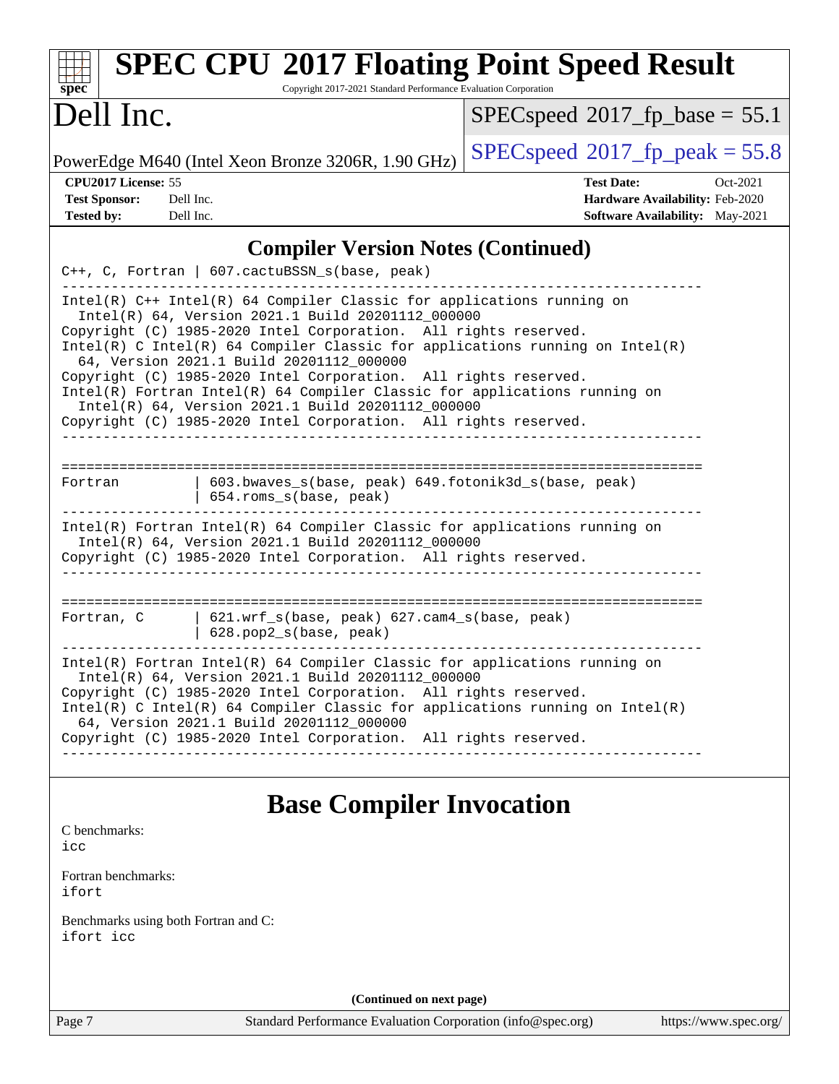| <b>SPEC CPU®2017 Floating Point Speed Result</b><br>Copyright 2017-2021 Standard Performance Evaluation Corporation<br>$spec^*$                                                                                                                                                                                                                                                                                                                                                                                                                                                                       |                                                                                                     |  |  |  |  |  |
|-------------------------------------------------------------------------------------------------------------------------------------------------------------------------------------------------------------------------------------------------------------------------------------------------------------------------------------------------------------------------------------------------------------------------------------------------------------------------------------------------------------------------------------------------------------------------------------------------------|-----------------------------------------------------------------------------------------------------|--|--|--|--|--|
| Dell Inc.                                                                                                                                                                                                                                                                                                                                                                                                                                                                                                                                                                                             | $SPEC speed$ <sup>®</sup> 2017_fp_base = 55.1                                                       |  |  |  |  |  |
| PowerEdge M640 (Intel Xeon Bronze 3206R, 1.90 GHz)                                                                                                                                                                                                                                                                                                                                                                                                                                                                                                                                                    | $SPEC speed^{\circ}2017$ [p_peak = 55.8                                                             |  |  |  |  |  |
| CPU2017 License: 55<br><b>Test Sponsor:</b><br>Dell Inc.<br><b>Tested by:</b><br>Dell Inc.                                                                                                                                                                                                                                                                                                                                                                                                                                                                                                            | <b>Test Date:</b><br>Oct-2021<br>Hardware Availability: Feb-2020<br>Software Availability: May-2021 |  |  |  |  |  |
| <b>Compiler Version Notes (Continued)</b>                                                                                                                                                                                                                                                                                                                                                                                                                                                                                                                                                             |                                                                                                     |  |  |  |  |  |
| C++, C, Fortran   607.cactuBSSN_s(base, peak)                                                                                                                                                                                                                                                                                                                                                                                                                                                                                                                                                         |                                                                                                     |  |  |  |  |  |
| $Intel(R)$ C++ Intel(R) 64 Compiler Classic for applications running on<br>Intel(R) 64, Version 2021.1 Build 20201112_000000<br>Copyright (C) 1985-2020 Intel Corporation. All rights reserved.<br>$Intel(R)$ C Intel(R) 64 Compiler Classic for applications running on Intel(R)<br>64, Version 2021.1 Build 20201112_000000<br>Copyright (C) 1985-2020 Intel Corporation. All rights reserved.<br>Intel(R) Fortran Intel(R) 64 Compiler Classic for applications running on<br>Intel(R) 64, Version 2021.1 Build 20201112_000000<br>Copyright (C) 1985-2020 Intel Corporation. All rights reserved. |                                                                                                     |  |  |  |  |  |
| 603.bwaves_s(base, peak) 649.fotonik3d_s(base, peak)<br>Fortran<br>654.roms_s(base, peak)<br>Intel(R) Fortran Intel(R) 64 Compiler Classic for applications running on<br>Intel(R) 64, Version 2021.1 Build 20201112_000000<br>Copyright (C) 1985-2020 Intel Corporation. All rights reserved.                                                                                                                                                                                                                                                                                                        |                                                                                                     |  |  |  |  |  |
| $621.wrf_s(base, peak)$ $627.cam4_s(base, peak)$<br>Fortran, C<br>$  628.pop2_s(base, peak)$<br>$Intel(R)$ Fortran Intel(R) 64 Compiler Classic for applications running on<br>Intel(R) 64, Version 2021.1 Build 20201112_000000                                                                                                                                                                                                                                                                                                                                                                      |                                                                                                     |  |  |  |  |  |
| Copyright (C) 1985-2020 Intel Corporation. All rights reserved.<br>$Intel(R)$ C Intel(R) 64 Compiler Classic for applications running on Intel(R)<br>64, Version 2021.1 Build 20201112_000000<br>Copyright (C) 1985-2020 Intel Corporation. All rights reserved.<br>___________________________                                                                                                                                                                                                                                                                                                       |                                                                                                     |  |  |  |  |  |
| <b>Base Compiler Invocation</b>                                                                                                                                                                                                                                                                                                                                                                                                                                                                                                                                                                       |                                                                                                     |  |  |  |  |  |
| C benchmarks:<br>icc                                                                                                                                                                                                                                                                                                                                                                                                                                                                                                                                                                                  |                                                                                                     |  |  |  |  |  |
| Fortran benchmarks:<br>ifort                                                                                                                                                                                                                                                                                                                                                                                                                                                                                                                                                                          |                                                                                                     |  |  |  |  |  |
| Benchmarks using both Fortran and C:<br>ifort icc                                                                                                                                                                                                                                                                                                                                                                                                                                                                                                                                                     |                                                                                                     |  |  |  |  |  |
| (Continued on next page)                                                                                                                                                                                                                                                                                                                                                                                                                                                                                                                                                                              |                                                                                                     |  |  |  |  |  |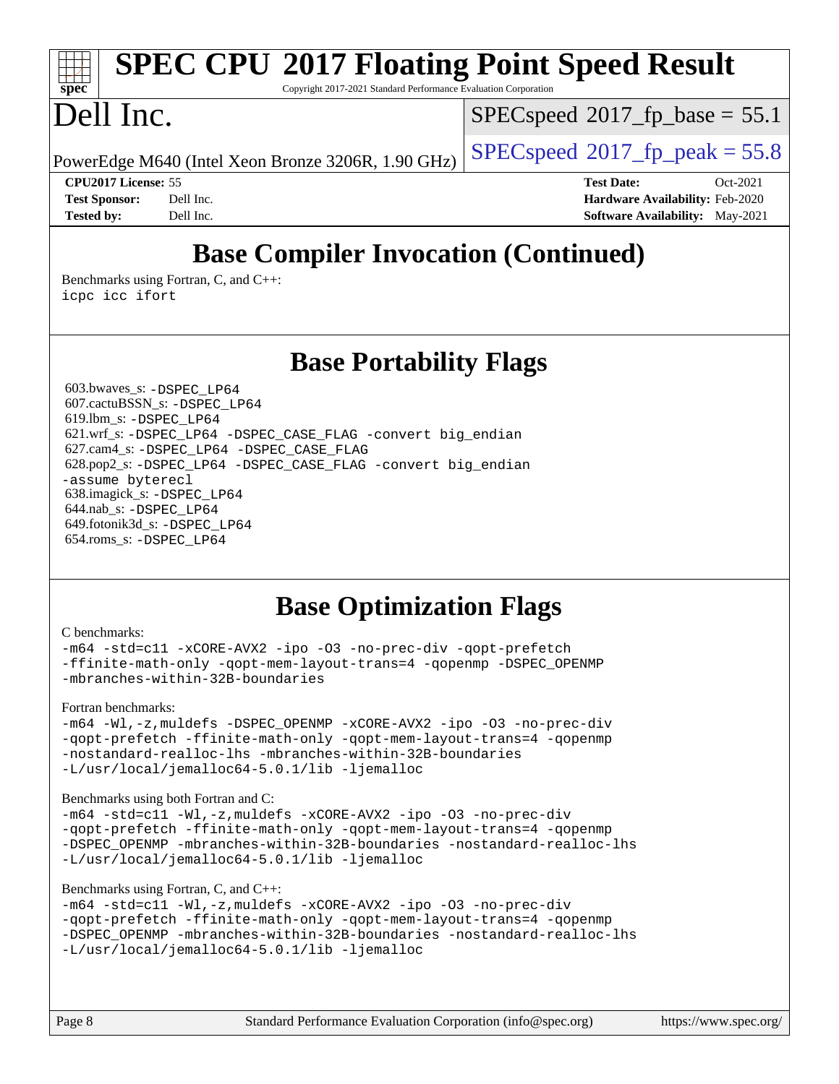# **[SPEC CPU](http://www.spec.org/auto/cpu2017/Docs/result-fields.html#SPECCPU2017FloatingPointSpeedResult)[2017 Floating Point Speed Result](http://www.spec.org/auto/cpu2017/Docs/result-fields.html#SPECCPU2017FloatingPointSpeedResult)**

Copyright 2017-2021 Standard Performance Evaluation Corporation

## Dell Inc.

**[spec](http://www.spec.org/)**

 $SPECspeed*2017_fp\_base = 55.1$  $SPECspeed*2017_fp\_base = 55.1$ 

PowerEdge M640 (Intel Xeon Bronze 3206R, 1.90 GHz)  $\left|$  [SPECspeed](http://www.spec.org/auto/cpu2017/Docs/result-fields.html#SPECspeed2017fppeak)®[2017\\_fp\\_peak = 5](http://www.spec.org/auto/cpu2017/Docs/result-fields.html#SPECspeed2017fppeak)5.8

**[CPU2017 License:](http://www.spec.org/auto/cpu2017/Docs/result-fields.html#CPU2017License)** 55 **[Test Date:](http://www.spec.org/auto/cpu2017/Docs/result-fields.html#TestDate)** Oct-2021 **[Test Sponsor:](http://www.spec.org/auto/cpu2017/Docs/result-fields.html#TestSponsor)** Dell Inc. **[Hardware Availability:](http://www.spec.org/auto/cpu2017/Docs/result-fields.html#HardwareAvailability)** Feb-2020 **[Tested by:](http://www.spec.org/auto/cpu2017/Docs/result-fields.html#Testedby)** Dell Inc. **[Software Availability:](http://www.spec.org/auto/cpu2017/Docs/result-fields.html#SoftwareAvailability)** May-2021

## **[Base Compiler Invocation \(Continued\)](http://www.spec.org/auto/cpu2017/Docs/result-fields.html#BaseCompilerInvocation)**

[Benchmarks using Fortran, C, and C++:](http://www.spec.org/auto/cpu2017/Docs/result-fields.html#BenchmarksusingFortranCandCXX) [icpc](http://www.spec.org/cpu2017/results/res2021q4/cpu2017-20211026-29889.flags.html#user_CC_CXX_FCbase_intel_icpc_c510b6838c7f56d33e37e94d029a35b4a7bccf4766a728ee175e80a419847e808290a9b78be685c44ab727ea267ec2f070ec5dc83b407c0218cded6866a35d07) [icc](http://www.spec.org/cpu2017/results/res2021q4/cpu2017-20211026-29889.flags.html#user_CC_CXX_FCbase_intel_icc_66fc1ee009f7361af1fbd72ca7dcefbb700085f36577c54f309893dd4ec40d12360134090235512931783d35fd58c0460139e722d5067c5574d8eaf2b3e37e92) [ifort](http://www.spec.org/cpu2017/results/res2021q4/cpu2017-20211026-29889.flags.html#user_CC_CXX_FCbase_intel_ifort_8111460550e3ca792625aed983ce982f94888b8b503583aa7ba2b8303487b4d8a21a13e7191a45c5fd58ff318f48f9492884d4413fa793fd88dd292cad7027ca)

**[Base Portability Flags](http://www.spec.org/auto/cpu2017/Docs/result-fields.html#BasePortabilityFlags)**

 603.bwaves\_s: [-DSPEC\\_LP64](http://www.spec.org/cpu2017/results/res2021q4/cpu2017-20211026-29889.flags.html#suite_basePORTABILITY603_bwaves_s_DSPEC_LP64) 607.cactuBSSN\_s: [-DSPEC\\_LP64](http://www.spec.org/cpu2017/results/res2021q4/cpu2017-20211026-29889.flags.html#suite_basePORTABILITY607_cactuBSSN_s_DSPEC_LP64) 619.lbm\_s: [-DSPEC\\_LP64](http://www.spec.org/cpu2017/results/res2021q4/cpu2017-20211026-29889.flags.html#suite_basePORTABILITY619_lbm_s_DSPEC_LP64) 621.wrf\_s: [-DSPEC\\_LP64](http://www.spec.org/cpu2017/results/res2021q4/cpu2017-20211026-29889.flags.html#suite_basePORTABILITY621_wrf_s_DSPEC_LP64) [-DSPEC\\_CASE\\_FLAG](http://www.spec.org/cpu2017/results/res2021q4/cpu2017-20211026-29889.flags.html#b621.wrf_s_baseCPORTABILITY_DSPEC_CASE_FLAG) [-convert big\\_endian](http://www.spec.org/cpu2017/results/res2021q4/cpu2017-20211026-29889.flags.html#user_baseFPORTABILITY621_wrf_s_convert_big_endian_c3194028bc08c63ac5d04de18c48ce6d347e4e562e8892b8bdbdc0214820426deb8554edfa529a3fb25a586e65a3d812c835984020483e7e73212c4d31a38223) 627.cam4\_s: [-DSPEC\\_LP64](http://www.spec.org/cpu2017/results/res2021q4/cpu2017-20211026-29889.flags.html#suite_basePORTABILITY627_cam4_s_DSPEC_LP64) [-DSPEC\\_CASE\\_FLAG](http://www.spec.org/cpu2017/results/res2021q4/cpu2017-20211026-29889.flags.html#b627.cam4_s_baseCPORTABILITY_DSPEC_CASE_FLAG) 628.pop2\_s: [-DSPEC\\_LP64](http://www.spec.org/cpu2017/results/res2021q4/cpu2017-20211026-29889.flags.html#suite_basePORTABILITY628_pop2_s_DSPEC_LP64) [-DSPEC\\_CASE\\_FLAG](http://www.spec.org/cpu2017/results/res2021q4/cpu2017-20211026-29889.flags.html#b628.pop2_s_baseCPORTABILITY_DSPEC_CASE_FLAG) [-convert big\\_endian](http://www.spec.org/cpu2017/results/res2021q4/cpu2017-20211026-29889.flags.html#user_baseFPORTABILITY628_pop2_s_convert_big_endian_c3194028bc08c63ac5d04de18c48ce6d347e4e562e8892b8bdbdc0214820426deb8554edfa529a3fb25a586e65a3d812c835984020483e7e73212c4d31a38223) [-assume byterecl](http://www.spec.org/cpu2017/results/res2021q4/cpu2017-20211026-29889.flags.html#user_baseFPORTABILITY628_pop2_s_assume_byterecl_7e47d18b9513cf18525430bbf0f2177aa9bf368bc7a059c09b2c06a34b53bd3447c950d3f8d6c70e3faf3a05c8557d66a5798b567902e8849adc142926523472) 638.imagick\_s: [-DSPEC\\_LP64](http://www.spec.org/cpu2017/results/res2021q4/cpu2017-20211026-29889.flags.html#suite_basePORTABILITY638_imagick_s_DSPEC_LP64) 644.nab\_s: [-DSPEC\\_LP64](http://www.spec.org/cpu2017/results/res2021q4/cpu2017-20211026-29889.flags.html#suite_basePORTABILITY644_nab_s_DSPEC_LP64) 649.fotonik3d\_s: [-DSPEC\\_LP64](http://www.spec.org/cpu2017/results/res2021q4/cpu2017-20211026-29889.flags.html#suite_basePORTABILITY649_fotonik3d_s_DSPEC_LP64) 654.roms\_s: [-DSPEC\\_LP64](http://www.spec.org/cpu2017/results/res2021q4/cpu2017-20211026-29889.flags.html#suite_basePORTABILITY654_roms_s_DSPEC_LP64)

## **[Base Optimization Flags](http://www.spec.org/auto/cpu2017/Docs/result-fields.html#BaseOptimizationFlags)**

#### [C benchmarks](http://www.spec.org/auto/cpu2017/Docs/result-fields.html#Cbenchmarks):

```
-m64 -std=c11 -xCORE-AVX2 -ipo -O3 -no-prec-div -qopt-prefetch
-ffinite-math-only -qopt-mem-layout-trans=4 -qopenmp -DSPEC_OPENMP
-mbranches-within-32B-boundaries
```
[Fortran benchmarks](http://www.spec.org/auto/cpu2017/Docs/result-fields.html#Fortranbenchmarks):

[-m64](http://www.spec.org/cpu2017/results/res2021q4/cpu2017-20211026-29889.flags.html#user_FCbase_m64-icc) [-Wl,-z,muldefs](http://www.spec.org/cpu2017/results/res2021q4/cpu2017-20211026-29889.flags.html#user_FCbase_link_force_multiple1_b4cbdb97b34bdee9ceefcfe54f4c8ea74255f0b02a4b23e853cdb0e18eb4525ac79b5a88067c842dd0ee6996c24547a27a4b99331201badda8798ef8a743f577) [-DSPEC\\_OPENMP](http://www.spec.org/cpu2017/results/res2021q4/cpu2017-20211026-29889.flags.html#suite_FCbase_DSPEC_OPENMP) [-xCORE-AVX2](http://www.spec.org/cpu2017/results/res2021q4/cpu2017-20211026-29889.flags.html#user_FCbase_f-xCORE-AVX2) [-ipo](http://www.spec.org/cpu2017/results/res2021q4/cpu2017-20211026-29889.flags.html#user_FCbase_f-ipo) [-O3](http://www.spec.org/cpu2017/results/res2021q4/cpu2017-20211026-29889.flags.html#user_FCbase_f-O3) [-no-prec-div](http://www.spec.org/cpu2017/results/res2021q4/cpu2017-20211026-29889.flags.html#user_FCbase_f-no-prec-div) [-qopt-prefetch](http://www.spec.org/cpu2017/results/res2021q4/cpu2017-20211026-29889.flags.html#user_FCbase_f-qopt-prefetch) [-ffinite-math-only](http://www.spec.org/cpu2017/results/res2021q4/cpu2017-20211026-29889.flags.html#user_FCbase_f_finite_math_only_cb91587bd2077682c4b38af759c288ed7c732db004271a9512da14a4f8007909a5f1427ecbf1a0fb78ff2a814402c6114ac565ca162485bbcae155b5e4258871) [-qopt-mem-layout-trans=4](http://www.spec.org/cpu2017/results/res2021q4/cpu2017-20211026-29889.flags.html#user_FCbase_f-qopt-mem-layout-trans_fa39e755916c150a61361b7846f310bcdf6f04e385ef281cadf3647acec3f0ae266d1a1d22d972a7087a248fd4e6ca390a3634700869573d231a252c784941a8) [-qopenmp](http://www.spec.org/cpu2017/results/res2021q4/cpu2017-20211026-29889.flags.html#user_FCbase_qopenmp_16be0c44f24f464004c6784a7acb94aca937f053568ce72f94b139a11c7c168634a55f6653758ddd83bcf7b8463e8028bb0b48b77bcddc6b78d5d95bb1df2967) [-nostandard-realloc-lhs](http://www.spec.org/cpu2017/results/res2021q4/cpu2017-20211026-29889.flags.html#user_FCbase_f_2003_std_realloc_82b4557e90729c0f113870c07e44d33d6f5a304b4f63d4c15d2d0f1fab99f5daaed73bdb9275d9ae411527f28b936061aa8b9c8f2d63842963b95c9dd6426b8a) [-mbranches-within-32B-boundaries](http://www.spec.org/cpu2017/results/res2021q4/cpu2017-20211026-29889.flags.html#user_FCbase_f-mbranches-within-32B-boundaries) [-L/usr/local/jemalloc64-5.0.1/lib](http://www.spec.org/cpu2017/results/res2021q4/cpu2017-20211026-29889.flags.html#user_FCbase_jemalloc_link_path64_1_cc289568b1a6c0fd3b62c91b824c27fcb5af5e8098e6ad028160d21144ef1b8aef3170d2acf0bee98a8da324cfe4f67d0a3d0c4cc4673d993d694dc2a0df248b) [-ljemalloc](http://www.spec.org/cpu2017/results/res2021q4/cpu2017-20211026-29889.flags.html#user_FCbase_jemalloc_link_lib_d1249b907c500fa1c0672f44f562e3d0f79738ae9e3c4a9c376d49f265a04b9c99b167ecedbf6711b3085be911c67ff61f150a17b3472be731631ba4d0471706)

[Benchmarks using both Fortran and C](http://www.spec.org/auto/cpu2017/Docs/result-fields.html#BenchmarksusingbothFortranandC):

```
-m64 -std=c11 -Wl,-z,muldefs -xCORE-AVX2 -ipo -O3 -no-prec-div
-qopt-prefetch -ffinite-math-only -qopt-mem-layout-trans=4 -qopenmp
-DSPEC_OPENMP -mbranches-within-32B-boundaries -nostandard-realloc-lhs
-L/usr/local/jemalloc64-5.0.1/lib -ljemalloc
```
#### [Benchmarks using Fortran, C, and C++:](http://www.spec.org/auto/cpu2017/Docs/result-fields.html#BenchmarksusingFortranCandCXX)

```
-m64 -std=c11 -Wl,-z,muldefs -xCORE-AVX2 -ipo -O3 -no-prec-div
-qopt-prefetch -ffinite-math-only -qopt-mem-layout-trans=4 -qopenmp
-DSPEC_OPENMP -mbranches-within-32B-boundaries -nostandard-realloc-lhs
-L/usr/local/jemalloc64-5.0.1/lib -ljemalloc
```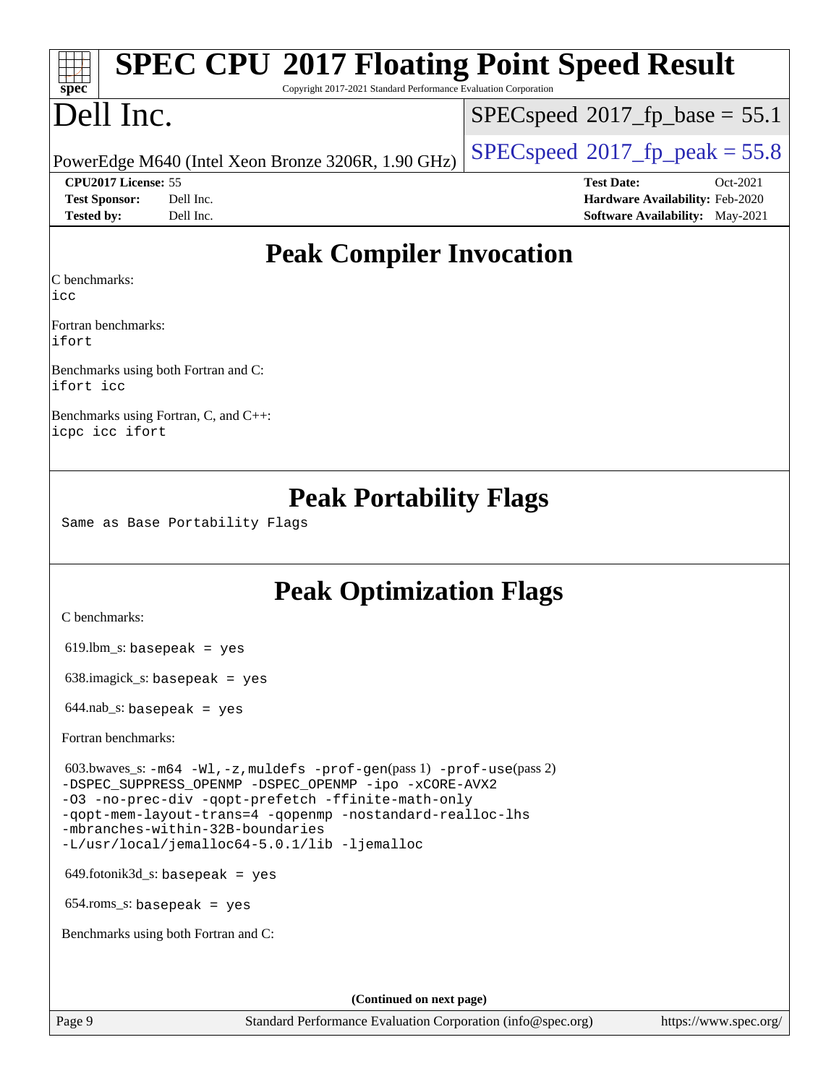| Dell Inc.                                                                                                                                                                                                                                             | $SPEC speed^{\circ}2017\_fp\_base = 55.1$                        |  |
|-------------------------------------------------------------------------------------------------------------------------------------------------------------------------------------------------------------------------------------------------------|------------------------------------------------------------------|--|
|                                                                                                                                                                                                                                                       | $SPEC speed^{\circ}2017$ [p_peak = 55.8                          |  |
| PowerEdge M640 (Intel Xeon Bronze 3206R, 1.90 GHz)                                                                                                                                                                                                    |                                                                  |  |
| CPU2017 License: 55<br><b>Test Sponsor:</b><br>Dell Inc.                                                                                                                                                                                              | <b>Test Date:</b><br>Oct-2021<br>Hardware Availability: Feb-2020 |  |
| Dell Inc.<br><b>Tested by:</b>                                                                                                                                                                                                                        | <b>Software Availability:</b> May-2021                           |  |
|                                                                                                                                                                                                                                                       | <b>Peak Compiler Invocation</b>                                  |  |
| C benchmarks:<br>icc                                                                                                                                                                                                                                  |                                                                  |  |
| Fortran benchmarks:<br>ifort                                                                                                                                                                                                                          |                                                                  |  |
| Benchmarks using both Fortran and C:<br>ifort icc                                                                                                                                                                                                     |                                                                  |  |
| Benchmarks using Fortran, C, and C++:<br>icpc icc ifort                                                                                                                                                                                               |                                                                  |  |
|                                                                                                                                                                                                                                                       | <b>Peak Optimization Flags</b>                                   |  |
| C benchmarks:                                                                                                                                                                                                                                         |                                                                  |  |
| $619.$ lbm_s: basepeak = yes                                                                                                                                                                                                                          |                                                                  |  |
| $638.\text{imagek}_s:$ basepeak = yes                                                                                                                                                                                                                 |                                                                  |  |
| $644$ .nab_s: basepeak = yes                                                                                                                                                                                                                          |                                                                  |  |
| Fortran benchmarks:                                                                                                                                                                                                                                   |                                                                  |  |
| 603.bwaves_s: $-m64$ -Wl, -z, muldefs -prof-gen(pass 1) -prof-use(pass 2)<br>-DSPEC_SUPPRESS_OPENMP -DSPEC_OPENMP -ipo -xCORE-AVX2<br>-03 -no-prec-div -qopt-prefetch -ffinite-math-only<br>-qopt-mem-layout-trans=4 -qopenmp -nostandard-realloc-lhs |                                                                  |  |
| -mbranches-within-32B-boundaries<br>-L/usr/local/jemalloc64-5.0.1/lib -ljemalloc                                                                                                                                                                      |                                                                  |  |
| $649$ .fotonik $3d$ <sub>-</sub> s: basepeak = yes                                                                                                                                                                                                    |                                                                  |  |
| $654$ .roms_s: basepeak = yes                                                                                                                                                                                                                         |                                                                  |  |
| Benchmarks using both Fortran and C:                                                                                                                                                                                                                  |                                                                  |  |
|                                                                                                                                                                                                                                                       | (Continued on next page)                                         |  |